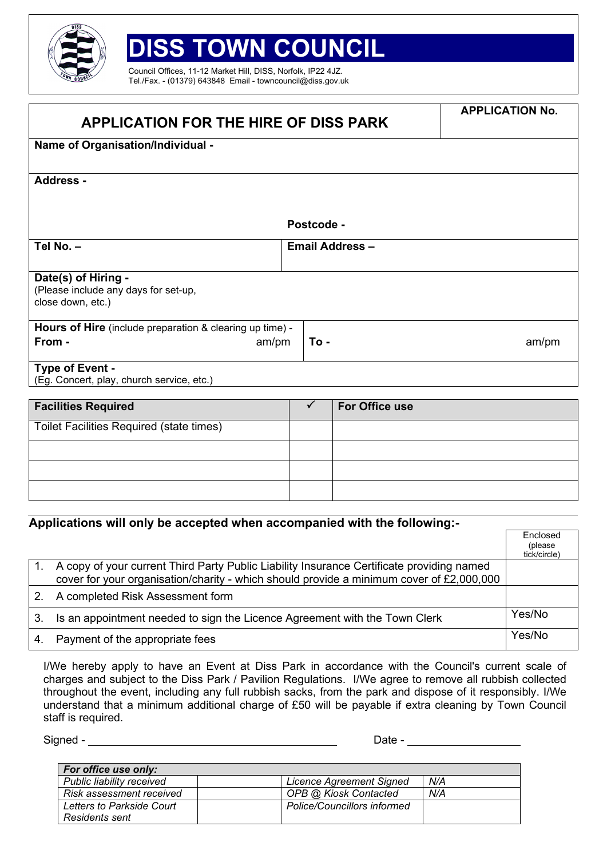

## **TOWN COUNCIL**

Council Offices, 11-12 Market Hill, DISS, Norfolk, IP22 4JZ. Tel./Fax. - (01379) 643848 Email - towncouncil@diss.gov.uk

| <b>APPLICATION FOR THE HIRE OF DISS PARK</b>                                     |            |                        | <b>APPLICATION No.</b> |
|----------------------------------------------------------------------------------|------------|------------------------|------------------------|
| Name of Organisation/Individual -                                                |            |                        |                        |
| <b>Address -</b>                                                                 |            |                        |                        |
|                                                                                  | Postcode - |                        |                        |
| Tel No. -                                                                        |            | <b>Email Address -</b> |                        |
| Date(s) of Hiring -<br>(Please include any days for set-up,<br>close down, etc.) |            |                        |                        |
| Hours of Hire (include preparation & clearing up time) -<br>From -               |            |                        |                        |
| am/pm                                                                            | To -       |                        | am/pm                  |
| Type of Event -<br>(Eg. Concert, play, church service, etc.)                     |            |                        |                        |
| <b>Facilities Required</b>                                                       | ✔          | <b>For Office use</b>  |                        |
|                                                                                  |            |                        |                        |

| <b>Facilities Required</b>               | For Office use |
|------------------------------------------|----------------|
| Toilet Facilities Required (state times) |                |
|                                          |                |
|                                          |                |
|                                          |                |

## **Applications will only be accepted when accompanied with the following:-**

|    |                                                                                                                                                                                       | Enclosed<br>(please)<br>tick/circle) |
|----|---------------------------------------------------------------------------------------------------------------------------------------------------------------------------------------|--------------------------------------|
|    | A copy of your current Third Party Public Liability Insurance Certificate providing named<br>cover for your organisation/charity - which should provide a minimum cover of £2,000,000 |                                      |
| 2. | A completed Risk Assessment form                                                                                                                                                      |                                      |
| 3. | Is an appointment needed to sign the Licence Agreement with the Town Clerk                                                                                                            | Yes/No                               |
|    | Payment of the appropriate fees                                                                                                                                                       | Yes/No                               |

I/We hereby apply to have an Event at Diss Park in accordance with the Council's current scale of charges and subject to the Diss Park / Pavilion Regulations. I/We agree to remove all rubbish collected throughout the event, including any full rubbish sacks, from the park and dispose of it responsibly. I/We understand that a minimum additional charge of £50 will be payable if extra cleaning by Town Council staff is required.

Signed - <u>Conservation Communications</u> Conservation Conservation Conservation Conservation Conservation Conservation Conservation Conservation Conservation Conservation Conservation Conservation Conservation Conservation C

| <b>For office use only:</b> |                                 |     |
|-----------------------------|---------------------------------|-----|
| Public liability received   | <b>Licence Agreement Signed</b> | N/A |
| Risk assessment received    | OPB @ Kiosk Contacted           | N/A |
| Letters to Parkside Court   | Police/Councillors informed     |     |
| <b>Residents sent</b>       |                                 |     |